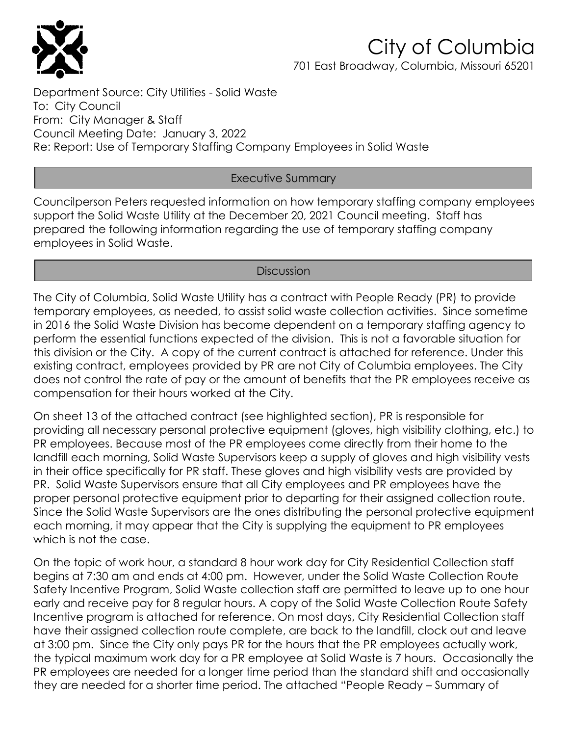

### City of Columbia 701 East Broadway, Columbia, Missouri 65201

Department Source: City Utilities - Solid Waste To: City Council From: City Manager & Staff Council Meeting Date: January 3, 2022 Re: Report: Use of Temporary Staffing Company Employees in Solid Waste

### Executive Summary

Councilperson Peters requested information on how temporary staffing company employees support the Solid Waste Utility at the December 20, 2021 Council meeting. Staff has prepared the following information regarding the use of temporary staffing company employees in Solid Waste.

### **Discussion**

The City of Columbia, Solid Waste Utility has a contract with People Ready (PR) to provide temporary employees, as needed, to assist solid waste collection activities. Since sometime in 2016 the Solid Waste Division has become dependent on a temporary staffing agency to perform the essential functions expected of the division. This is not a favorable situation for this division or the City. A copy of the current contract is attached for reference. Under this existing contract, employees provided by PR are not City of Columbia employees. The City does not control the rate of pay or the amount of benefits that the PR employees receive as compensation for their hours worked at the City.

On sheet 13 of the attached contract (see highlighted section), PR is responsible for providing all necessary personal protective equipment (gloves, high visibility clothing, etc.) to PR employees. Because most of the PR employees come directly from their home to the landfill each morning, Solid Waste Supervisors keep a supply of gloves and high visibility vests in their office specifically for PR staff. These gloves and high visibility vests are provided by PR. Solid Waste Supervisors ensure that all City employees and PR employees have the proper personal protective equipment prior to departing for their assigned collection route. Since the Solid Waste Supervisors are the ones distributing the personal protective equipment each morning, it may appear that the City is supplying the equipment to PR employees which is not the case.

On the topic of work hour, a standard 8 hour work day for City Residential Collection staff begins at 7:30 am and ends at 4:00 pm. However, under the Solid Waste Collection Route Safety Incentive Program, Solid Waste collection staff are permitted to leave up to one hour early and receive pay for 8 regular hours. A copy of the Solid Waste Collection Route Safety Incentive program is attached for reference. On most days, City Residential Collection staff have their assigned collection route complete, are back to the landfill, clock out and leave at 3:00 pm. Since the City only pays PR for the hours that the PR employees actually work, the typical maximum work day for a PR employee at Solid Waste is 7 hours. Occasionally the PR employees are needed for a longer time period than the standard shift and occasionally they are needed for a shorter time period. The attached "People Ready – Summary of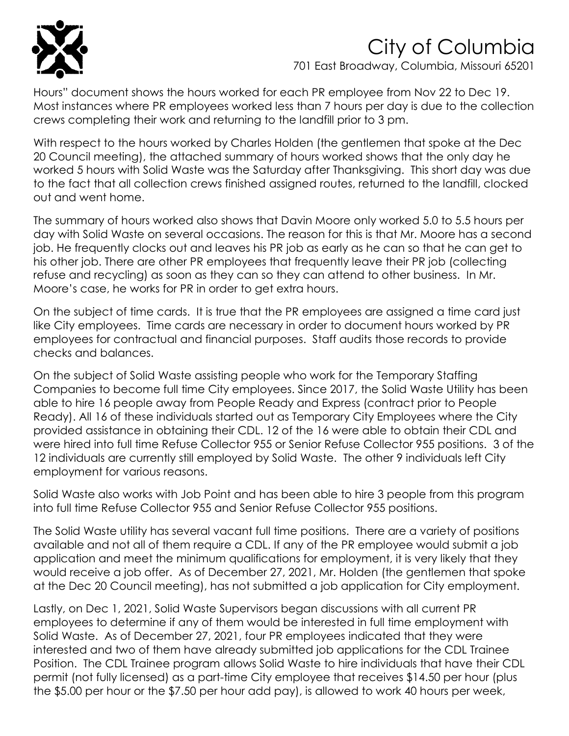

# City of Columbia

701 East Broadway, Columbia, Missouri 65201

Hours" document shows the hours worked for each PR employee from Nov 22 to Dec 19. Most instances where PR employees worked less than 7 hours per day is due to the collection crews completing their work and returning to the landfill prior to 3 pm.

With respect to the hours worked by Charles Holden (the gentlemen that spoke at the Dec 20 Council meeting), the attached summary of hours worked shows that the only day he worked 5 hours with Solid Waste was the Saturday after Thanksgiving. This short day was due to the fact that all collection crews finished assigned routes, returned to the landfill, clocked out and went home.

The summary of hours worked also shows that Davin Moore only worked 5.0 to 5.5 hours per day with Solid Waste on several occasions. The reason for this is that Mr. Moore has a second job. He frequently clocks out and leaves his PR job as early as he can so that he can get to his other job. There are other PR employees that frequently leave their PR job (collecting refuse and recycling) as soon as they can so they can attend to other business. In Mr. Moore's case, he works for PR in order to get extra hours.

On the subject of time cards. It is true that the PR employees are assigned a time card just like City employees. Time cards are necessary in order to document hours worked by PR employees for contractual and financial purposes. Staff audits those records to provide checks and balances.

On the subject of Solid Waste assisting people who work for the Temporary Staffing Companies to become full time City employees. Since 2017, the Solid Waste Utility has been able to hire 16 people away from People Ready and Express (contract prior to People Ready). All 16 of these individuals started out as Temporary City Employees where the City provided assistance in obtaining their CDL. 12 of the 16 were able to obtain their CDL and were hired into full time Refuse Collector 955 or Senior Refuse Collector 955 positions. 3 of the 12 individuals are currently still employed by Solid Waste. The other 9 individuals left City employment for various reasons.

Solid Waste also works with Job Point and has been able to hire 3 people from this program into full time Refuse Collector 955 and Senior Refuse Collector 955 positions.

The Solid Waste utility has several vacant full time positions. There are a variety of positions available and not all of them require a CDL. If any of the PR employee would submit a job application and meet the minimum qualifications for employment, it is very likely that they would receive a job offer. As of December 27, 2021, Mr. Holden (the gentlemen that spoke at the Dec 20 Council meeting), has not submitted a job application for City employment.

Lastly, on Dec 1, 2021, Solid Waste Supervisors began discussions with all current PR employees to determine if any of them would be interested in full time employment with Solid Waste. As of December 27, 2021, four PR employees indicated that they were interested and two of them have already submitted job applications for the CDL Trainee Position. The CDL Trainee program allows Solid Waste to hire individuals that have their CDL permit (not fully licensed) as a part-time City employee that receives \$14.50 per hour (plus the \$5.00 per hour or the \$7.50 per hour add pay), is allowed to work 40 hours per week,